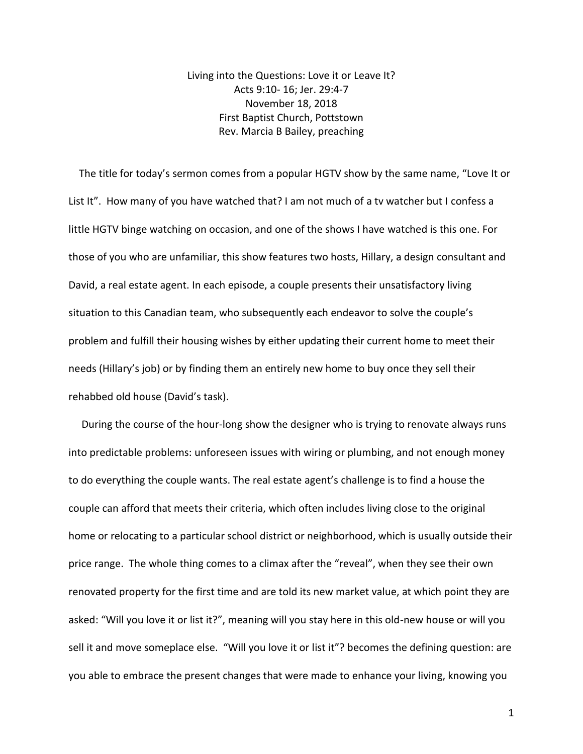Living into the Questions: Love it or Leave It? Acts 9:10- 16; Jer. 29:4-7 November 18, 2018 First Baptist Church, Pottstown Rev. Marcia B Bailey, preaching

 The title for today's sermon comes from a popular HGTV show by the same name, "Love It or List It". How many of you have watched that? I am not much of a tv watcher but I confess a little HGTV binge watching on occasion, and one of the shows I have watched is this one. For those of you who are unfamiliar, this show features two hosts, Hillary, a design consultant and David, a real estate agent. In each episode, a couple presents their unsatisfactory living situation to this Canadian team, who subsequently each endeavor to solve the couple's problem and fulfill their housing wishes by either updating their current home to meet their needs (Hillary's job) or by finding them an entirely new home to buy once they sell their rehabbed old house (David's task).

 During the course of the hour-long show the designer who is trying to renovate always runs into predictable problems: unforeseen issues with wiring or plumbing, and not enough money to do everything the couple wants. The real estate agent's challenge is to find a house the couple can afford that meets their criteria, which often includes living close to the original home or relocating to a particular school district or neighborhood, which is usually outside their price range. The whole thing comes to a climax after the "reveal", when they see their own renovated property for the first time and are told its new market value, at which point they are asked: "Will you love it or list it?", meaning will you stay here in this old-new house or will you sell it and move someplace else. "Will you love it or list it"? becomes the defining question: are you able to embrace the present changes that were made to enhance your living, knowing you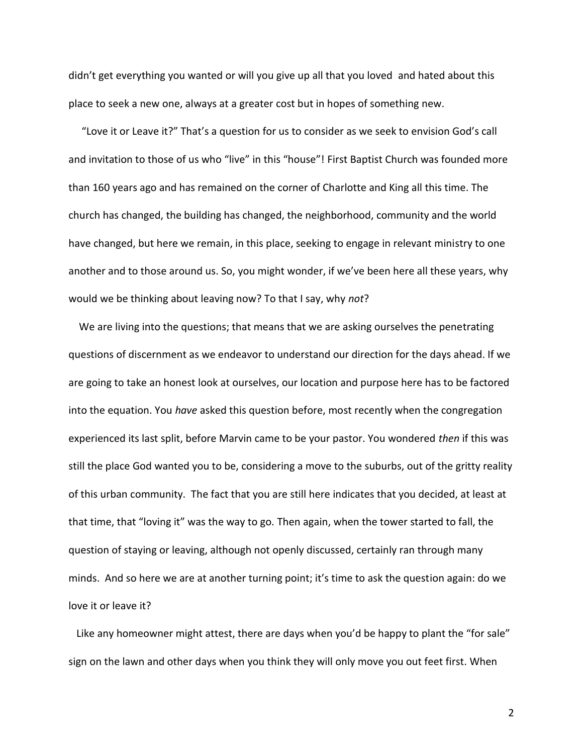didn't get everything you wanted or will you give up all that you loved and hated about this place to seek a new one, always at a greater cost but in hopes of something new.

 "Love it or Leave it?" That's a question for us to consider as we seek to envision God's call and invitation to those of us who "live" in this "house"! First Baptist Church was founded more than 160 years ago and has remained on the corner of Charlotte and King all this time. The church has changed, the building has changed, the neighborhood, community and the world have changed, but here we remain, in this place, seeking to engage in relevant ministry to one another and to those around us. So, you might wonder, if we've been here all these years, why would we be thinking about leaving now? To that I say, why *not*?

 We are living into the questions; that means that we are asking ourselves the penetrating questions of discernment as we endeavor to understand our direction for the days ahead. If we are going to take an honest look at ourselves, our location and purpose here has to be factored into the equation. You *have* asked this question before, most recently when the congregation experienced its last split, before Marvin came to be your pastor. You wondered *then* if this was still the place God wanted you to be, considering a move to the suburbs, out of the gritty reality of this urban community. The fact that you are still here indicates that you decided, at least at that time, that "loving it" was the way to go. Then again, when the tower started to fall, the question of staying or leaving, although not openly discussed, certainly ran through many minds. And so here we are at another turning point; it's time to ask the question again: do we love it or leave it?

Like any homeowner might attest, there are days when you'd be happy to plant the "for sale" sign on the lawn and other days when you think they will only move you out feet first. When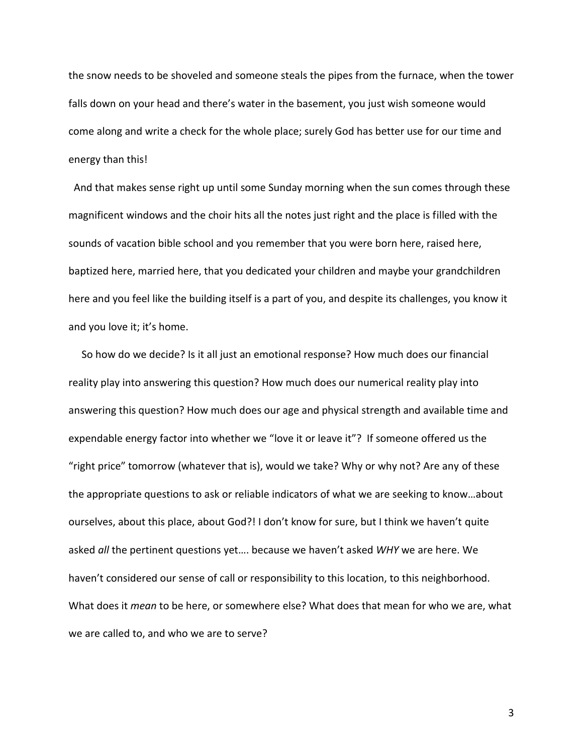the snow needs to be shoveled and someone steals the pipes from the furnace, when the tower falls down on your head and there's water in the basement, you just wish someone would come along and write a check for the whole place; surely God has better use for our time and energy than this!

 And that makes sense right up until some Sunday morning when the sun comes through these magnificent windows and the choir hits all the notes just right and the place is filled with the sounds of vacation bible school and you remember that you were born here, raised here, baptized here, married here, that you dedicated your children and maybe your grandchildren here and you feel like the building itself is a part of you, and despite its challenges, you know it and you love it; it's home.

 So how do we decide? Is it all just an emotional response? How much does our financial reality play into answering this question? How much does our numerical reality play into answering this question? How much does our age and physical strength and available time and expendable energy factor into whether we "love it or leave it"? If someone offered us the "right price" tomorrow (whatever that is), would we take? Why or why not? Are any of these the appropriate questions to ask or reliable indicators of what we are seeking to know…about ourselves, about this place, about God?! I don't know for sure, but I think we haven't quite asked *all* the pertinent questions yet…. because we haven't asked *WHY* we are here. We haven't considered our sense of call or responsibility to this location, to this neighborhood. What does it *mean* to be here, or somewhere else? What does that mean for who we are, what we are called to, and who we are to serve?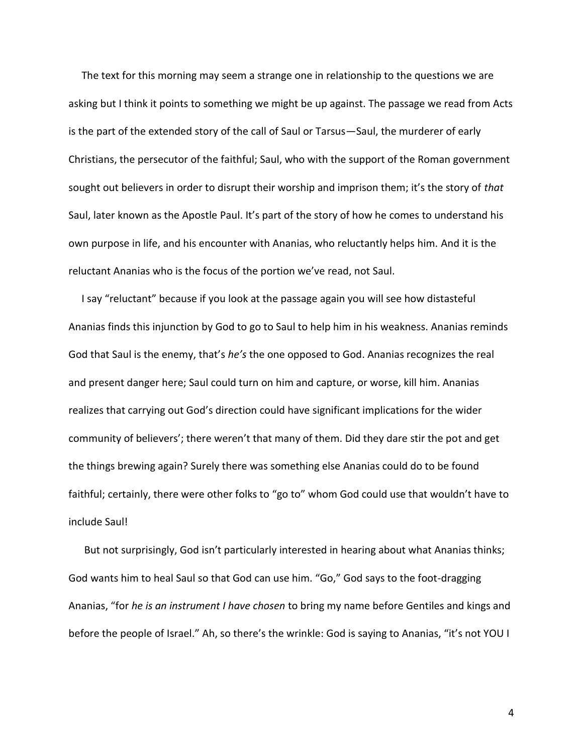The text for this morning may seem a strange one in relationship to the questions we are asking but I think it points to something we might be up against. The passage we read from Acts is the part of the extended story of the call of Saul or Tarsus—Saul, the murderer of early Christians, the persecutor of the faithful; Saul, who with the support of the Roman government sought out believers in order to disrupt their worship and imprison them; it's the story of *that* Saul, later known as the Apostle Paul. It's part of the story of how he comes to understand his own purpose in life, and his encounter with Ananias, who reluctantly helps him. And it is the reluctant Ananias who is the focus of the portion we've read, not Saul.

 I say "reluctant" because if you look at the passage again you will see how distasteful Ananias finds this injunction by God to go to Saul to help him in his weakness. Ananias reminds God that Saul is the enemy, that's *he's* the one opposed to God. Ananias recognizes the real and present danger here; Saul could turn on him and capture, or worse, kill him. Ananias realizes that carrying out God's direction could have significant implications for the wider community of believers'; there weren't that many of them. Did they dare stir the pot and get the things brewing again? Surely there was something else Ananias could do to be found faithful; certainly, there were other folks to "go to" whom God could use that wouldn't have to include Saul!

 But not surprisingly, God isn't particularly interested in hearing about what Ananias thinks; God wants him to heal Saul so that God can use him. "Go," God says to the foot-dragging Ananias, "for *he is an instrument I have chosen* to bring my name before Gentiles and kings and before the people of Israel." Ah, so there's the wrinkle: God is saying to Ananias, "it's not YOU I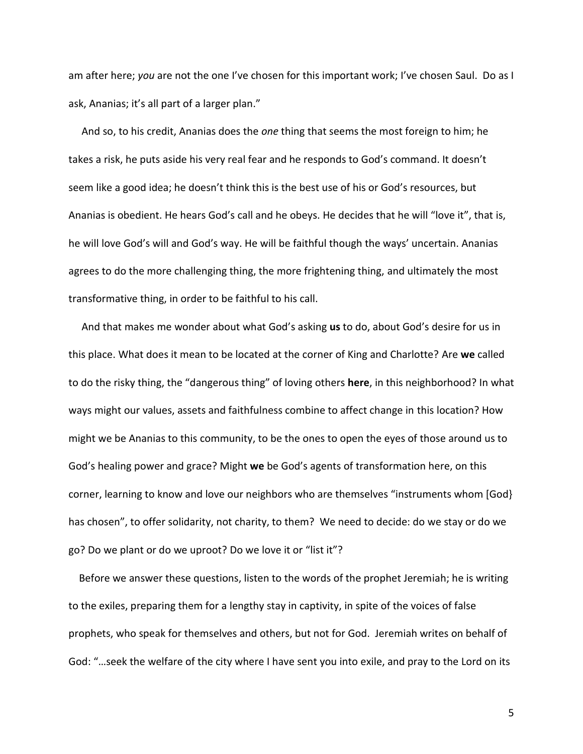am after here; *you* are not the one I've chosen for this important work; I've chosen Saul. Do as I ask, Ananias; it's all part of a larger plan."

 And so, to his credit, Ananias does the *one* thing that seems the most foreign to him; he takes a risk, he puts aside his very real fear and he responds to God's command. It doesn't seem like a good idea; he doesn't think this is the best use of his or God's resources, but Ananias is obedient. He hears God's call and he obeys. He decides that he will "love it", that is, he will love God's will and God's way. He will be faithful though the ways' uncertain. Ananias agrees to do the more challenging thing, the more frightening thing, and ultimately the most transformative thing, in order to be faithful to his call.

 And that makes me wonder about what God's asking **us** to do, about God's desire for us in this place. What does it mean to be located at the corner of King and Charlotte? Are **we** called to do the risky thing, the "dangerous thing" of loving others **here**, in this neighborhood? In what ways might our values, assets and faithfulness combine to affect change in this location? How might we be Ananias to this community, to be the ones to open the eyes of those around us to God's healing power and grace? Might **we** be God's agents of transformation here, on this corner, learning to know and love our neighbors who are themselves "instruments whom [God} has chosen", to offer solidarity, not charity, to them? We need to decide: do we stay or do we go? Do we plant or do we uproot? Do we love it or "list it"?

 Before we answer these questions, listen to the words of the prophet Jeremiah; he is writing to the exiles, preparing them for a lengthy stay in captivity, in spite of the voices of false prophets, who speak for themselves and others, but not for God. Jeremiah writes on behalf of God: "…seek the welfare of the city where I have sent you into exile, and pray to the Lord on its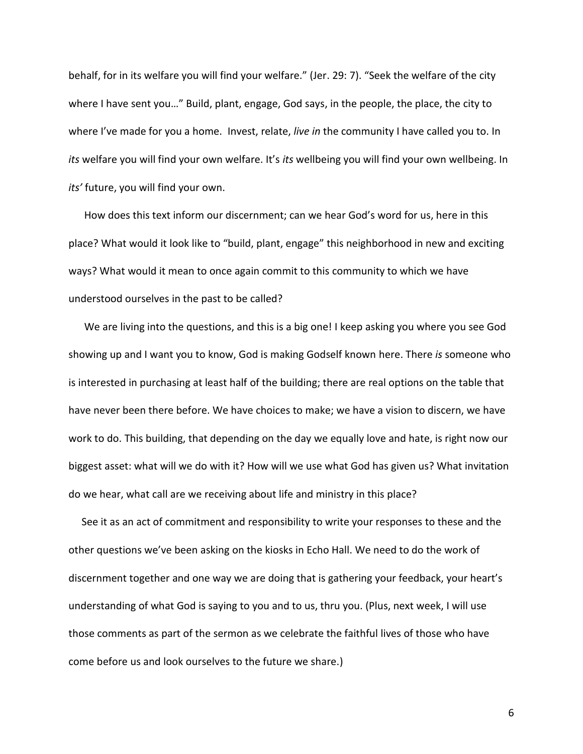behalf, for in its welfare you will find your welfare." (Jer. 29: 7). "Seek the welfare of the city where I have sent you…" Build, plant, engage, God says, in the people, the place, the city to where I've made for you a home. Invest, relate, *live in* the community I have called you to. In *its* welfare you will find your own welfare. It's *its* wellbeing you will find your own wellbeing. In *its'* future, you will find your own.

 How does this text inform our discernment; can we hear God's word for us, here in this place? What would it look like to "build, plant, engage" this neighborhood in new and exciting ways? What would it mean to once again commit to this community to which we have understood ourselves in the past to be called?

 We are living into the questions, and this is a big one! I keep asking you where you see God showing up and I want you to know, God is making Godself known here. There *is* someone who is interested in purchasing at least half of the building; there are real options on the table that have never been there before. We have choices to make; we have a vision to discern, we have work to do. This building, that depending on the day we equally love and hate, is right now our biggest asset: what will we do with it? How will we use what God has given us? What invitation do we hear, what call are we receiving about life and ministry in this place?

 See it as an act of commitment and responsibility to write your responses to these and the other questions we've been asking on the kiosks in Echo Hall. We need to do the work of discernment together and one way we are doing that is gathering your feedback, your heart's understanding of what God is saying to you and to us, thru you. (Plus, next week, I will use those comments as part of the sermon as we celebrate the faithful lives of those who have come before us and look ourselves to the future we share.)